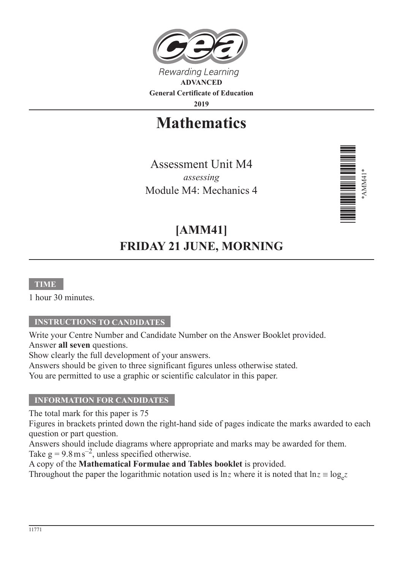

**2019**

**Mathematics**

Assessment Unit M4 *assessing* Module M4: Mechanics 4



# **[AMM41] FRIDAY 21 JUNE, MORNING**

## **TIME**

1 hour 30 minutes.

## **INSTRUCTIONS TO CANDIDATES**

Write your Centre Number and Candidate Number on the Answer Booklet provided. Answer **all seven** questions.

Show clearly the full development of your answers.

Answers should be given to three significant figures unless otherwise stated.

You are permitted to use a graphic or scientific calculator in this paper.

#### **INFORMATION FOR CANDIDATES**

The total mark for this paper is 75

Figures in brackets printed down the right-hand side of pages indicate the marks awarded to each question or part question.

Answers should include diagrams where appropriate and marks may be awarded for them. Take  $g = 9.8 \text{ m s}^{-2}$ , unless specified otherwise.

A copy of the **Mathematical Formulae and Tables booklet** is provided. Throughout the paper the logarithmic notation used is  $\ln z$  where it is noted that  $\ln z \equiv \log_e z$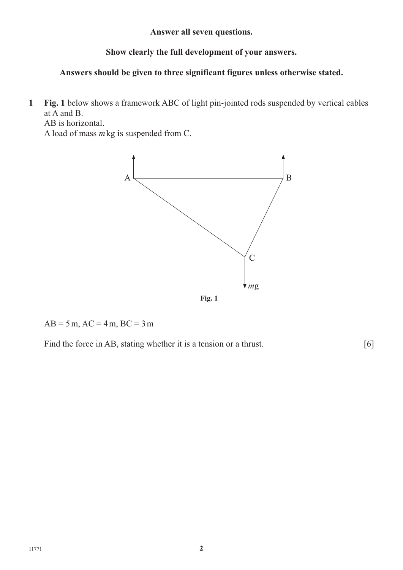**Answer all seven questions.**

# **Show clearly the full development of your answers.**

# **Answers should be given to three significant figures unless otherwise stated.**

**1 Fig. 1** below shows a framework ABC of light pin-jointed rods suspended by vertical cables at A and B.

AB is horizontal.

A load of mass *m*kg is suspended from C.



 $AB = 5m$ ,  $AC = 4m$ ,  $BC = 3m$ 

Find the force in AB, stating whether it is a tension or a thrust. [6]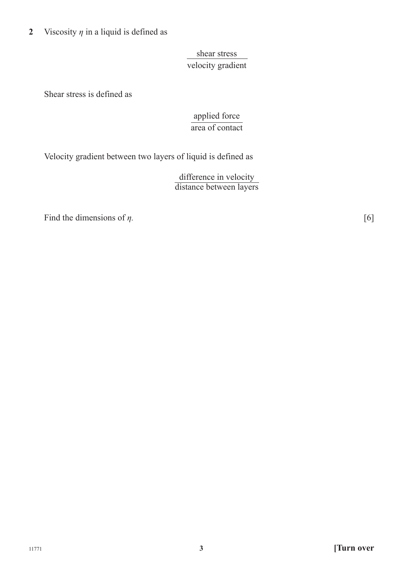**2** Viscosity  $\eta$  in a liquid is defined as

shear stress velocity gradient

Shear stress is defined as

applied force area of contact

Velocity gradient between two layers of liquid is defined as

difference in velocity distance between layers

Find the dimensions of  $\eta$ . [6]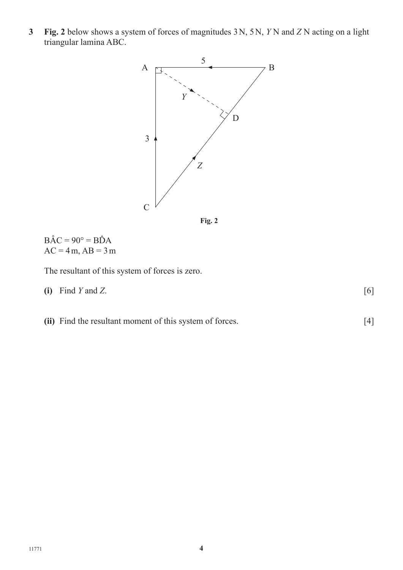**3 Fig. 2** below shows a system of forces of magnitudes 3N, 5N, *Y* N and *Z* N acting on a light triangular lamina ABC.





 $B\hat{A}C = 90^\circ = B\hat{D}A$  $AC = 4m$ ,  $AB = 3m$ 

The resultant of this system of forces is zero.

- **(i)** Find *Y* and *Z*. [6]
- **(ii)** Find the resultant moment of this system of forces. [4]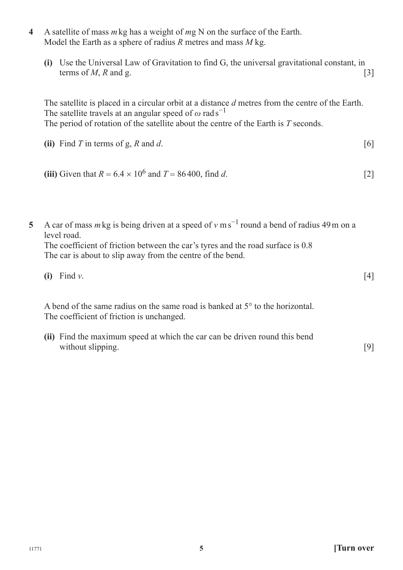- **4** A satellite of mass *m*kg has a weight of *m*g N on the surface of the Earth. Model the Earth as a sphere of radius *R* metres and mass *M* kg.
	- **(i)** Use the Universal Law of Gravitation to find G, the universal gravitational constant, in terms of  $M$ ,  $R$  and  $g$ . [3]

The satellite is placed in a circular orbit at a distance *d* metres from the centre of the Earth. The satellite travels at an angular speed of  $\omega$  rad s<sup>-1</sup> The period of rotation of the satellite about the centre of the Earth is *T* seconds.

- (ii) Find *T* in terms of g, *R* and *d*.  $[6]$
- **(iii)** Given that  $R = 6.4 \times 10^6$  and  $T = 86400$ , find *d*. [2]
- **5** A car of mass *m*kg is being driven at a speed of *v* ms−1 round a bend of radius 49m on a level road.

The coefficient of friction between the car's tyres and the road surface is 0.8 The car is about to slip away from the centre of the bend.

**(i)** Find *v*. [4]

A bend of the same radius on the same road is banked at 5° to the horizontal. The coefficient of friction is unchanged.

**(ii)** Find the maximum speed at which the car can be driven round this bend without slipping. [9]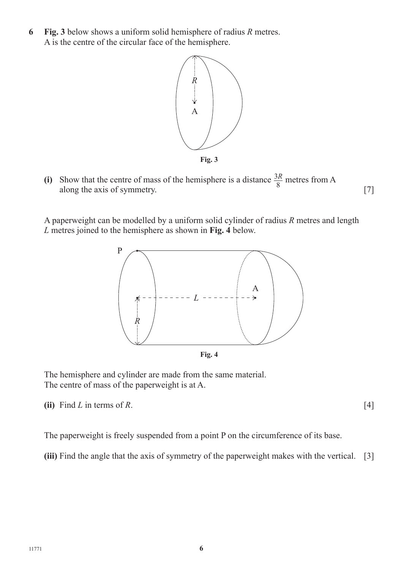**6 Fig. 3** below shows a uniform solid hemisphere of radius *R* metres. A is the centre of the circular face of the hemisphere.



(i) Show that the centre of mass of the hemisphere is a distance  $\frac{3R}{8}$  metres from A along the axis of symmetry.  $[7]$ 

A paperweight can be modelled by a uniform solid cylinder of radius *R* metres and length *L* metres joined to the hemisphere as shown in **Fig. 4** below.



The hemisphere and cylinder are made from the same material. The centre of mass of the paperweight is at A.

**(ii)** Find *L* in terms of *R*.  $[4]$ 

The paperweight is freely suspended from a point P on the circumference of its base.

**(iii)** Find the angle that the axis of symmetry of the paperweight makes with the vertical. [3]